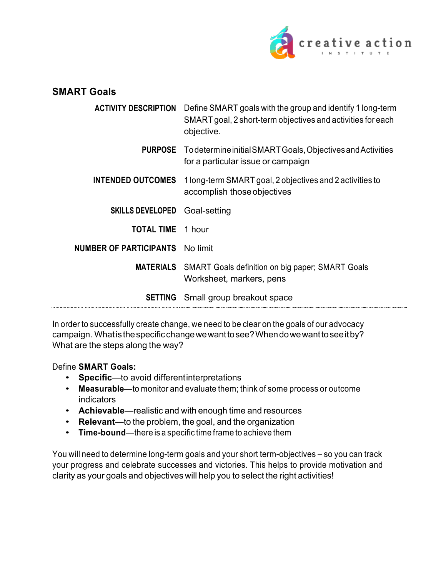

| <b>SMART Goals</b>            |                                                                                                                                         |
|-------------------------------|-----------------------------------------------------------------------------------------------------------------------------------------|
| <b>ACTIVITY DESCRIPTION</b>   | Define SMART goals with the group and identify 1 long-term<br>SMART goal, 2 short-term objectives and activities for each<br>objective. |
|                               | <b>PURPOSE</b> To determine initial SMART Goals, Objectives and Activities<br>for a particular issue or campaign                        |
| <b>INTENDED OUTCOMES</b>      | 1 long-term SMART goal, 2 objectives and 2 activities to<br>accomplish those objectives                                                 |
| <b>SKILLS DEVELOPED</b>       | Goal-setting                                                                                                                            |
| <b>TOTAL TIME</b> 1 hour      |                                                                                                                                         |
| <b>NUMBER OF PARTICIPANTS</b> | No limit                                                                                                                                |
|                               | <b>MATERIALS</b> SMART Goals definition on big paper; SMART Goals<br>Worksheet, markers, pens                                           |
| <b>SETTING</b>                | Small group breakout space                                                                                                              |

In order to successfully create change, we need to be clear on the goals of our advocacy campaign. Whatisthespecificchangewewanttosee?Whendowewanttoseeitby? What are the steps along the way?

#### Define **SMART Goals:**

- **Specific**—to avoid differentinterpretations
- **Measurable**—to monitor and evaluate them; think of some process or outcome indicators
- **Achievable**—realistic and with enough time and resources
- **Relevant**—to the problem, the goal, and the organization
- **Time-bound**—there is a specific time frame to achieve them

You will need to determine long-term goals and your short term-objectives – so you can track your progress and celebrate successes and victories. This helps to provide motivation and clarity as your goals and objectives will help you to select the right activities!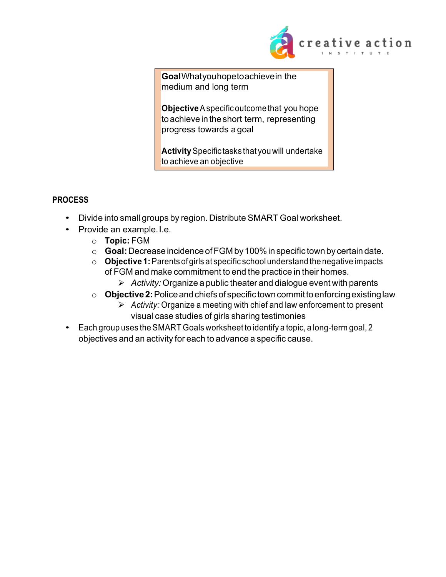

**Goal**Whatyouhopetoachievein the medium and long term

**Objective**Aspecificoutcome that you hope to achieve in the short term, representing progress towards a goal

**Activity**Specific tasks that you will undertake to achieve an objective

### **PROCESS**

- Divide into small groups by region. Distribute SMART Goal worksheet.
- Provide an example.I.e.
	- o **Topic:** FGM
	- o **Goal:**Decreaseincidence ofFGM by100%in specific townby certain date.
	- o **Objective 1:**Parents of girls at specific schoolunderstand the negative impacts of FGM and make commitment to end the practice in their homes.
		- Ø *Activity:* Organize a public theater and dialogue event with parents
	- o **Objective2:**Policeandchiefsof specific towncommittoenforcingexistinglaw
		- Ø *Activity:* Organize a meeting with chief and law enforcement to present visual case studies of girls sharing testimonies
- Each group uses the SMART Goals worksheet to identify a topic, a long-term goal, 2 objectives and an activity for each to advance a specific cause.